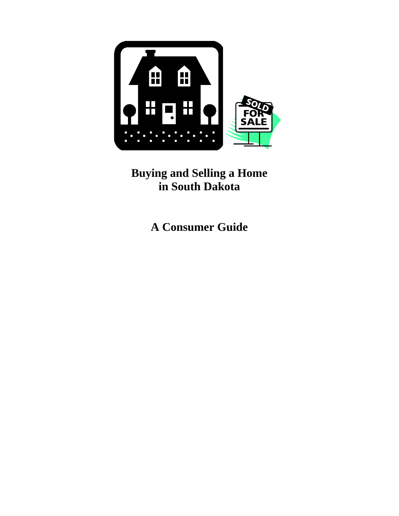

**Buying and Selling a Home in South Dakota** 

**A Consumer Guide**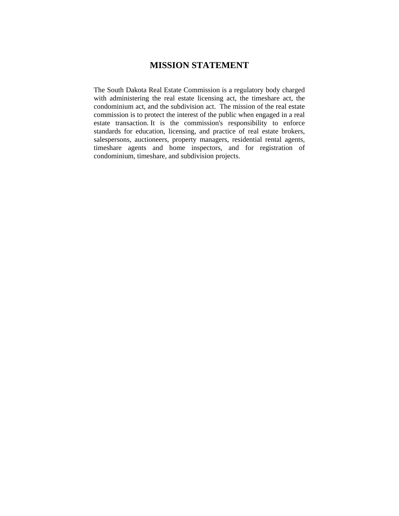# **MISSION STATEMENT**

The South Dakota Real Estate Commission is a regulatory body charged with administering the real estate licensing act, the timeshare act, the condominium act, and the subdivision act. The mission of the real estate commission is to protect the interest of the public when engaged in a real estate transaction. It is the commission's responsibility to enforce standards for education, licensing, and practice of real estate brokers, salespersons, auctioneers, property managers, residential rental agents, timeshare agents and home inspectors, and for registration of condominium, timeshare, and subdivision projects.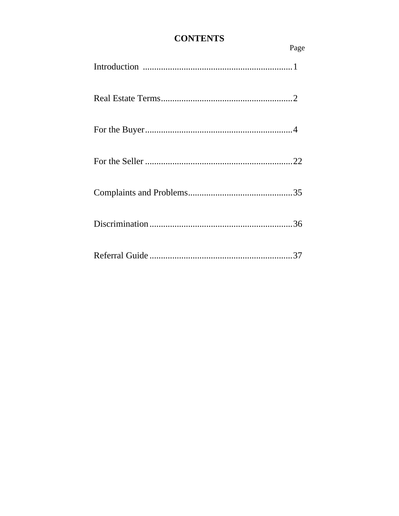# **CONTENTS**

| Page |
|------|
|      |
|      |
|      |
|      |
|      |
|      |
|      |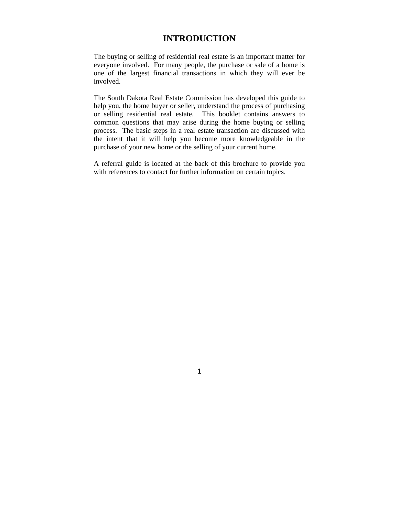# **INTRODUCTION**

The buying or selling of residential real estate is an important matter for everyone involved. For many people, the purchase or sale of a home is one of the largest financial transactions in which they will ever be involved.

The South Dakota Real Estate Commission has developed this guide to help you, the home buyer or seller, understand the process of purchasing or selling residential real estate. This booklet contains answers to common questions that may arise during the home buying or selling process. The basic steps in a real estate transaction are discussed with the intent that it will help you become more knowledgeable in the purchase of your new home or the selling of your current home.

A referral guide is located at the back of this brochure to provide you with references to contact for further information on certain topics.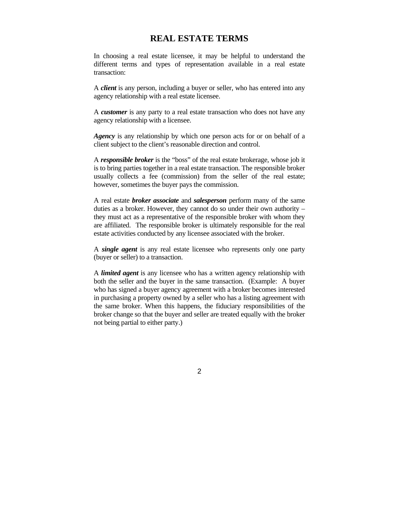# **REAL ESTATE TERMS**

In choosing a real estate licensee, it may be helpful to understand the different terms and types of representation available in a real estate transaction:

A *client* is any person, including a buyer or seller, who has entered into any agency relationship with a real estate licensee.

A *customer* is any party to a real estate transaction who does not have any agency relationship with a licensee.

*Agency* is any relationship by which one person acts for or on behalf of a client subject to the client's reasonable direction and control.

A *responsible broker* is the "boss" of the real estate brokerage, whose job it is to bring parties together in a real estate transaction. The responsible broker usually collects a fee (commission) from the seller of the real estate; however, sometimes the buyer pays the commission.

A real estate *broker associate* and *salesperson* perform many of the same duties as a broker. However, they cannot do so under their own authority – they must act as a representative of the responsible broker with whom they are affiliated. The responsible broker is ultimately responsible for the real estate activities conducted by any licensee associated with the broker.

A *single agent* is any real estate licensee who represents only one party (buyer or seller) to a transaction.

A *limited agent* is any licensee who has a written agency relationship with both the seller and the buyer in the same transaction. (Example: A buyer who has signed a buyer agency agreement with a broker becomes interested in purchasing a property owned by a seller who has a listing agreement with the same broker. When this happens, the fiduciary responsibilities of the broker change so that the buyer and seller are treated equally with the broker not being partial to either party.)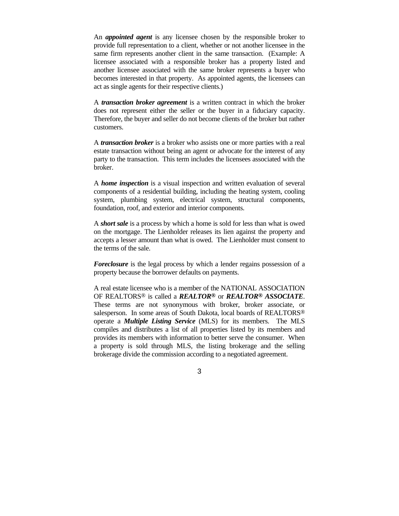An *appointed agent* is any licensee chosen by the responsible broker to provide full representation to a client, whether or not another licensee in the same firm represents another client in the same transaction. (Example: A licensee associated with a responsible broker has a property listed and another licensee associated with the same broker represents a buyer who becomes interested in that property. As appointed agents, the licensees can act as single agents for their respective clients.)

A *transaction broker agreement* is a written contract in which the broker does not represent either the seller or the buyer in a fiduciary capacity. Therefore, the buyer and seller do not become clients of the broker but rather customers.

A *transaction broker* is a broker who assists one or more parties with a real estate transaction without being an agent or advocate for the interest of any party to the transaction. This term includes the licensees associated with the broker.

A *home inspection* is a visual inspection and written evaluation of several components of a residential building, including the heating system, cooling system, plumbing system, electrical system, structural components, foundation, roof, and exterior and interior components.

A *short sale* is a process by which a home is sold for less than what is owed on the mortgage. The Lienholder releases its lien against the property and accepts a lesser amount than what is owed. The Lienholder must consent to the terms of the sale.

*Foreclosure* is the legal process by which a lender regains possession of a property because the borrower defaults on payments.

A real estate licensee who is a member of the NATIONAL ASSOCIATION OF REALTORS® is called a *REALTOR®* or *REALTOR® ASSOCIATE*. These terms are not synonymous with broker, broker associate, or salesperson. In some areas of South Dakota, local boards of REALTORS® operate a *Multiple Listing Service* (MLS) for its members. The MLS compiles and distributes a list of all properties listed by its members and provides its members with information to better serve the consumer. When a property is sold through MLS, the listing brokerage and the selling brokerage divide the commission according to a negotiated agreement.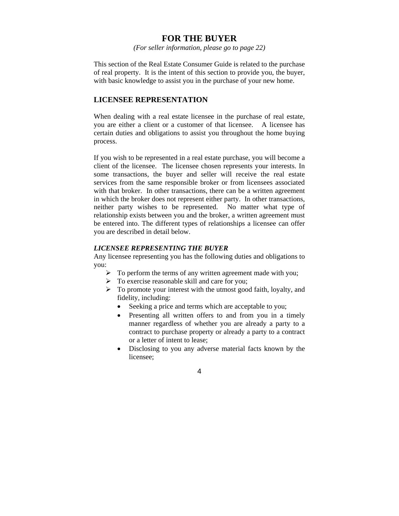# **FOR THE BUYER**

*(For seller information, please go to page 22)*

This section of the Real Estate Consumer Guide is related to the purchase of real property. It is the intent of this section to provide you, the buyer, with basic knowledge to assist you in the purchase of your new home.

### **LICENSEE REPRESENTATION**

When dealing with a real estate licensee in the purchase of real estate, you are either a client or a customer of that licensee. A licensee has certain duties and obligations to assist you throughout the home buying process.

If you wish to be represented in a real estate purchase, you will become a client of the licensee. The licensee chosen represents your interests. In some transactions, the buyer and seller will receive the real estate services from the same responsible broker or from licensees associated with that broker. In other transactions, there can be a written agreement in which the broker does not represent either party. In other transactions, neither party wishes to be represented. No matter what type of relationship exists between you and the broker, a written agreement must be entered into. The different types of relationships a licensee can offer you are described in detail below.

### *LICENSEE REPRESENTING THE BUYER*

Any licensee representing you has the following duties and obligations to you:

- $\triangleright$  To perform the terms of any written agreement made with you;
- $\triangleright$  To exercise reasonable skill and care for you;
- $\triangleright$  To promote your interest with the utmost good faith, loyalty, and fidelity, including:
	- Seeking a price and terms which are acceptable to you;
	- Presenting all written offers to and from you in a timely manner regardless of whether you are already a party to a contract to purchase property or already a party to a contract or a letter of intent to lease;
	- Disclosing to you any adverse material facts known by the licensee;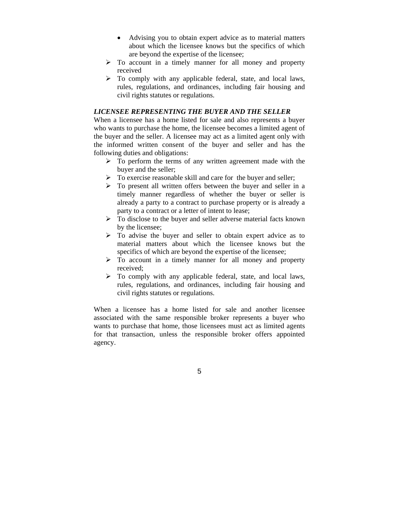- Advising you to obtain expert advice as to material matters about which the licensee knows but the specifics of which are beyond the expertise of the licensee;
- $\triangleright$  To account in a timely manner for all money and property received
- $\triangleright$  To comply with any applicable federal, state, and local laws, rules, regulations, and ordinances, including fair housing and civil rights statutes or regulations.

### *LICENSEE REPRESENTING THE BUYER AND THE SELLER*

When a licensee has a home listed for sale and also represents a buyer who wants to purchase the home, the licensee becomes a limited agent of the buyer and the seller. A licensee may act as a limited agent only with the informed written consent of the buyer and seller and has the following duties and obligations:

- $\triangleright$  To perform the terms of any written agreement made with the buyer and the seller;
- $\triangleright$  To exercise reasonable skill and care for the buyer and seller;
- $\triangleright$  To present all written offers between the buyer and seller in a timely manner regardless of whether the buyer or seller is already a party to a contract to purchase property or is already a party to a contract or a letter of intent to lease;
- $\triangleright$  To disclose to the buyer and seller adverse material facts known by the licensee;
- $\triangleright$  To advise the buyer and seller to obtain expert advice as to material matters about which the licensee knows but the specifics of which are beyond the expertise of the licensee;
- $\triangleright$  To account in a timely manner for all money and property received;
- $\triangleright$  To comply with any applicable federal, state, and local laws, rules, regulations, and ordinances, including fair housing and civil rights statutes or regulations.

When a licensee has a home listed for sale and another licensee associated with the same responsible broker represents a buyer who wants to purchase that home, those licensees must act as limited agents for that transaction, unless the responsible broker offers appointed agency.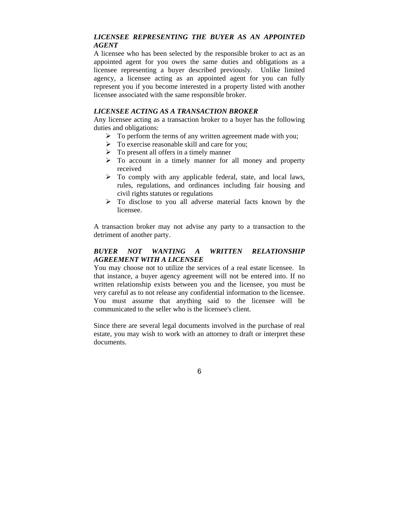# *LICENSEE REPRESENTING THE BUYER AS AN APPOINTED AGENT*

A licensee who has been selected by the responsible broker to act as an appointed agent for you owes the same duties and obligations as a licensee representing a buyer described previously. Unlike limited agency, a licensee acting as an appointed agent for you can fully represent you if you become interested in a property listed with another licensee associated with the same responsible broker.

## *LICENSEE ACTING AS A TRANSACTION BROKER*

Any licensee acting as a transaction broker to a buyer has the following duties and obligations:

- $\triangleright$  To perform the terms of any written agreement made with you;
- $\triangleright$  To exercise reasonable skill and care for you:
- $\triangleright$  To present all offers in a timely manner
- $\triangleright$  To account in a timely manner for all money and property received
- $\triangleright$  To comply with any applicable federal, state, and local laws, rules, regulations, and ordinances including fair housing and civil rights statutes or regulations
- $\triangleright$  To disclose to you all adverse material facts known by the licensee.

A transaction broker may not advise any party to a transaction to the detriment of another party.

# *BUYER NOT WANTING A WRITTEN RELATIONSHIP AGREEMENT WITH A LICENSEE*

You may choose not to utilize the services of a real estate licensee. In that instance, a buyer agency agreement will not be entered into. If no written relationship exists between you and the licensee, you must be very careful as to not release any confidential information to the licensee. You must assume that anything said to the licensee will be communicated to the seller who is the licensee's client.

Since there are several legal documents involved in the purchase of real estate, you may wish to work with an attorney to draft or interpret these documents.

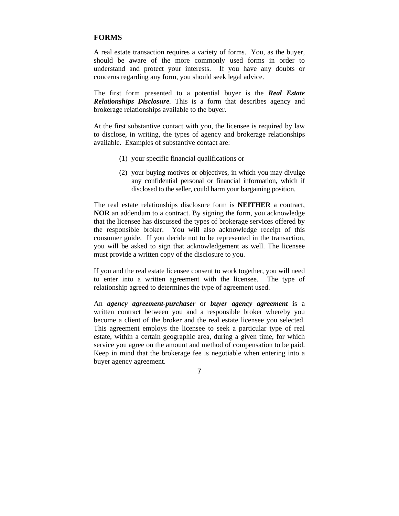# **FORMS**

A real estate transaction requires a variety of forms. You, as the buyer, should be aware of the more commonly used forms in order to understand and protect your interests. If you have any doubts or concerns regarding any form, you should seek legal advice.

The first form presented to a potential buyer is the *Real Estate Relationships Disclosure.* This is a form that describes agency and brokerage relationships available to the buyer.

At the first substantive contact with you, the licensee is required by law to disclose, in writing, the types of agency and brokerage relationships available. Examples of substantive contact are:

- (1) your specific financial qualifications or
- (2) your buying motives or objectives, in which you may divulge any confidential personal or financial information, which if disclosed to the seller, could harm your bargaining position.

The real estate relationships disclosure form is **NEITHER** a contract, **NOR** an addendum to a contract. By signing the form, you acknowledge that the licensee has discussed the types of brokerage services offered by the responsible broker. You will also acknowledge receipt of this consumer guide. If you decide not to be represented in the transaction, you will be asked to sign that acknowledgement as well. The licensee must provide a written copy of the disclosure to you.

If you and the real estate licensee consent to work together, you will need to enter into a written agreement with the licensee. The type of relationship agreed to determines the type of agreement used.

An *agency agreement-purchaser* or *buyer agency agreement* is a written contract between you and a responsible broker whereby you become a client of the broker and the real estate licensee you selected. This agreement employs the licensee to seek a particular type of real estate, within a certain geographic area, during a given time, for which service you agree on the amount and method of compensation to be paid. Keep in mind that the brokerage fee is negotiable when entering into a buyer agency agreement.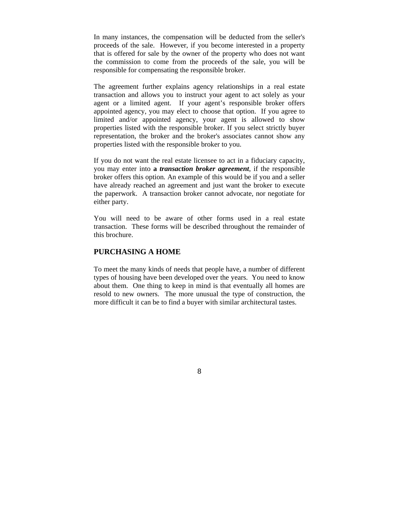In many instances, the compensation will be deducted from the seller's proceeds of the sale. However, if you become interested in a property that is offered for sale by the owner of the property who does not want the commission to come from the proceeds of the sale, you will be responsible for compensating the responsible broker.

The agreement further explains agency relationships in a real estate transaction and allows you to instruct your agent to act solely as your agent or a limited agent. If your agent's responsible broker offers appointed agency, you may elect to choose that option. If you agree to limited and/or appointed agency, your agent is allowed to show properties listed with the responsible broker. If you select strictly buyer representation, the broker and the broker's associates cannot show any properties listed with the responsible broker to you.

If you do not want the real estate licensee to act in a fiduciary capacity, you may enter into **a** *transaction broker agreement*, if the responsible broker offers this option*.* An example of this would be if you and a seller have already reached an agreement and just want the broker to execute the paperwork. A transaction broker cannot advocate, nor negotiate for either party.

You will need to be aware of other forms used in a real estate transaction. These forms will be described throughout the remainder of this brochure.

# **PURCHASING A HOME**

To meet the many kinds of needs that people have, a number of different types of housing have been developed over the years. You need to know about them. One thing to keep in mind is that eventually all homes are resold to new owners. The more unusual the type of construction, the more difficult it can be to find a buyer with similar architectural tastes.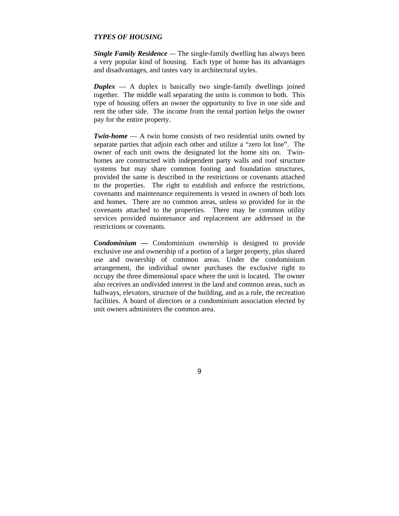### *TYPES OF HOUSING*

*Single Family Residence —* The single-family dwelling has always been a very popular kind of housing. Each type of home has its advantages and disadvantages, and tastes vary in architectural styles.

*Duplex* — A duplex is basically two single-family dwellings joined together. The middle wall separating the units is common to both. This type of housing offers an owner the opportunity to live in one side and rent the other side. The income from the rental portion helps the owner pay for the entire property.

*Twin-home* — A twin home consists of two residential units owned by separate parties that adjoin each other and utilize a "zero lot line". The owner of each unit owns the designated lot the home sits on. Twinhomes are constructed with independent party walls and roof structure systems but may share common footing and foundation structures, provided the same is described in the restrictions or covenants attached to the properties. The right to establish and enforce the restrictions, covenants and maintenance requirements is vested in owners of both lots and homes. There are no common areas, unless so provided for in the covenants attached to the properties. There may be common utility services provided maintenance and replacement are addressed in the restrictions or covenants.

*Condominium* **—** Condominium ownership is designed to provide exclusive use and ownership of a portion of a larger property, plus shared use and ownership of common areas. Under the condominium arrangement, the individual owner purchases the exclusive right to occupy the three dimensional space where the unit is located. The owner also receives an undivided interest in the land and common areas, such as hallways, elevators, structure of the building, and as a rule, the recreation facilities. A board of directors or a condominium association elected by unit owners administers the common area.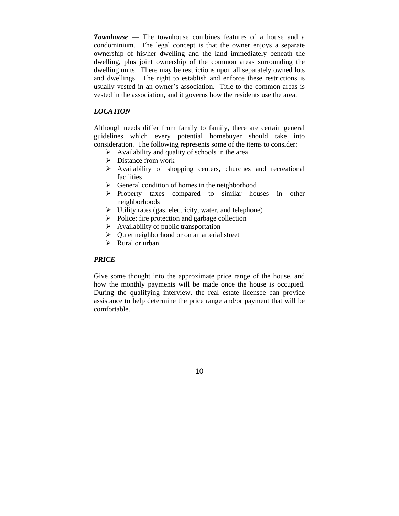*Townhouse* — The townhouse combines features of a house and a condominium. The legal concept is that the owner enjoys a separate ownership of his/her dwelling and the land immediately beneath the dwelling, plus joint ownership of the common areas surrounding the dwelling units. There may be restrictions upon all separately owned lots and dwellings. The right to establish and enforce these restrictions is usually vested in an owner's association. Title to the common areas is vested in the association, and it governs how the residents use the area.

### *LOCATION*

Although needs differ from family to family, there are certain general guidelines which every potential homebuyer should take into consideration. The following represents some of the items to consider:

- $\triangleright$  Availability and quality of schools in the area
- $\triangleright$  Distance from work
- $\triangleright$  Availability of shopping centers, churches and recreational facilities
- $\triangleright$  General condition of homes in the neighborhood
- ¾ Property taxes compared to similar houses in other neighborhoods
- $\triangleright$  Utility rates (gas, electricity, water, and telephone)
- $\triangleright$  Police; fire protection and garbage collection
- $\triangleright$  Availability of public transportation
- $\triangleright$  Quiet neighborhood or on an arterial street
- $\triangleright$  Rural or urban

#### *PRICE*

Give some thought into the approximate price range of the house, and how the monthly payments will be made once the house is occupied. During the qualifying interview, the real estate licensee can provide assistance to help determine the price range and/or payment that will be comfortable.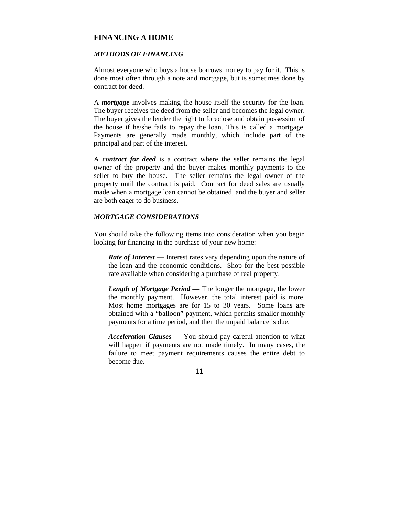## **FINANCING A HOME**

### *METHODS OF FINANCING*

Almost everyone who buys a house borrows money to pay for it. This is done most often through a note and mortgage, but is sometimes done by contract for deed.

A *mortgage* involves making the house itself the security for the loan. The buyer receives the deed from the seller and becomes the legal owner. The buyer gives the lender the right to foreclose and obtain possession of the house if he/she fails to repay the loan. This is called a mortgage. Payments are generally made monthly, which include part of the principal and part of the interest.

A *contract for deed* is a contract where the seller remains the legal owner of the property and the buyer makes monthly payments to the seller to buy the house. The seller remains the legal owner of the property until the contract is paid. Contract for deed sales are usually made when a mortgage loan cannot be obtained, and the buyer and seller are both eager to do business.

### *MORTGAGE CONSIDERATIONS*

You should take the following items into consideration when you begin looking for financing in the purchase of your new home:

*Rate of Interest* — Interest rates vary depending upon the nature of the loan and the economic conditions. Shop for the best possible rate available when considering a purchase of real property.

*Length of Mortgage Period —* The longer the mortgage, the lower the monthly payment. However, the total interest paid is more. Most home mortgages are for 15 to 30 years. Some loans are obtained with a "balloon" payment, which permits smaller monthly payments for a time period, and then the unpaid balance is due.

*Acceleration Clauses —* You should pay careful attention to what will happen if payments are not made timely. In many cases, the failure to meet payment requirements causes the entire debt to become due.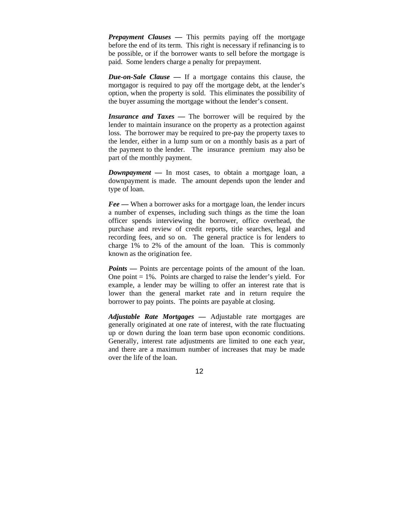*Prepayment Clauses — This permits paying off the mortgage* before the end of its term. This right is necessary if refinancing is to be possible, or if the borrower wants to sell before the mortgage is paid. Some lenders charge a penalty for prepayment.

*Due-on-Sale Clause —* If a mortgage contains this clause, the mortgagor is required to pay off the mortgage debt, at the lender's option, when the property is sold. This eliminates the possibility of the buyer assuming the mortgage without the lender's consent.

*Insurance and Taxes —* The borrower will be required by the lender to maintain insurance on the property as a protection against loss. The borrower may be required to pre-pay the property taxes to the lender, either in a lump sum or on a monthly basis as a part of the payment to the lender. The insurance premium may also be part of the monthly payment.

*Downpayment —* In most cases, to obtain a mortgage loan, a downpayment is made. The amount depends upon the lender and type of loan.

*Fee —* When a borrower asks for a mortgage loan, the lender incurs a number of expenses, including such things as the time the loan officer spends interviewing the borrower, office overhead, the purchase and review of credit reports, title searches, legal and recording fees, and so on. The general practice is for lenders to charge 1% to 2% of the amount of the loan. This is commonly known as the origination fee.

*Points* — Points are percentage points of the amount of the loan. One point  $= 1\%$ . Points are charged to raise the lender's yield. For example, a lender may be willing to offer an interest rate that is lower than the general market rate and in return require the borrower to pay points. The points are payable at closing.

*Adjustable Rate Mortgages —* Adjustable rate mortgages are generally originated at one rate of interest, with the rate fluctuating up or down during the loan term base upon economic conditions. Generally, interest rate adjustments are limited to one each year, and there are a maximum number of increases that may be made over the life of the loan.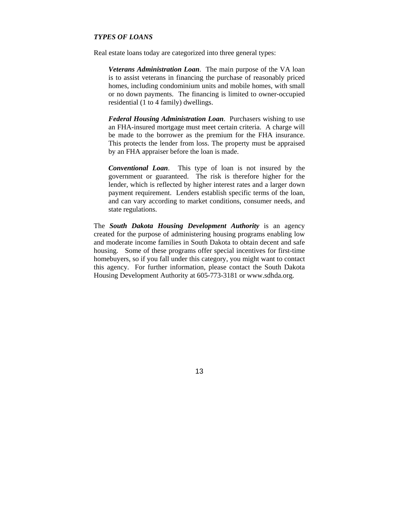# *TYPES OF LOANS*

Real estate loans today are categorized into three general types:

*Veterans Administration Loan*. The main purpose of the VA loan is to assist veterans in financing the purchase of reasonably priced homes, including condominium units and mobile homes, with small or no down payments. The financing is limited to owner-occupied residential (1 to 4 family) dwellings.

*Federal Housing Administration Loan*. Purchasers wishing to use an FHA-insured mortgage must meet certain criteria. A charge will be made to the borrower as the premium for the FHA insurance. This protects the lender from loss. The property must be appraised by an FHA appraiser before the loan is made.

*Conventional Loan*. This type of loan is not insured by the government or guaranteed. The risk is therefore higher for the lender, which is reflected by higher interest rates and a larger down payment requirement. Lenders establish specific terms of the loan, and can vary according to market conditions, consumer needs, and state regulations.

The *South Dakota Housing Development Authority* is an agency created for the purpose of administering housing programs enabling low and moderate income families in South Dakota to obtain decent and safe housing. Some of these programs offer special incentives for first-time homebuyers, so if you fall under this category, you might want to contact this agency. For further information, please contact the South Dakota Housing Development Authority at 605-773-3181 or www.sdhda.org.

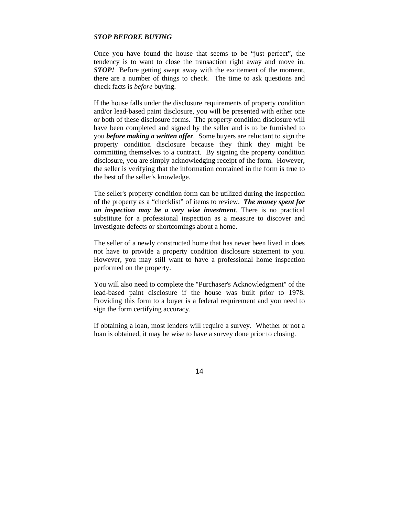#### *STOP BEFORE BUYING*

Once you have found the house that seems to be "just perfect", the tendency is to want to close the transaction right away and move in. *STOP!* Before getting swept away with the excitement of the moment, there are a number of things to check. The time to ask questions and check facts is *before* buying.

If the house falls under the disclosure requirements of property condition and/or lead-based paint disclosure, you will be presented with either one or both of these disclosure forms. The property condition disclosure will have been completed and signed by the seller and is to be furnished to you *before making a written offer*. Some buyers are reluctant to sign the property condition disclosure because they think they might be committing themselves to a contract. By signing the property condition disclosure, you are simply acknowledging receipt of the form. However, the seller is verifying that the information contained in the form is true to the best of the seller's knowledge.

The seller's property condition form can be utilized during the inspection of the property as a "checklist" of items to review. *The money spent for an inspection may be a very wise investment.* There is no practical substitute for a professional inspection as a measure to discover and investigate defects or shortcomings about a home.

The seller of a newly constructed home that has never been lived in does not have to provide a property condition disclosure statement to you. However, you may still want to have a professional home inspection performed on the property.

You will also need to complete the "Purchaser's Acknowledgment" of the lead-based paint disclosure if the house was built prior to 1978. Providing this form to a buyer is a federal requirement and you need to sign the form certifying accuracy.

If obtaining a loan, most lenders will require a survey. Whether or not a loan is obtained, it may be wise to have a survey done prior to closing.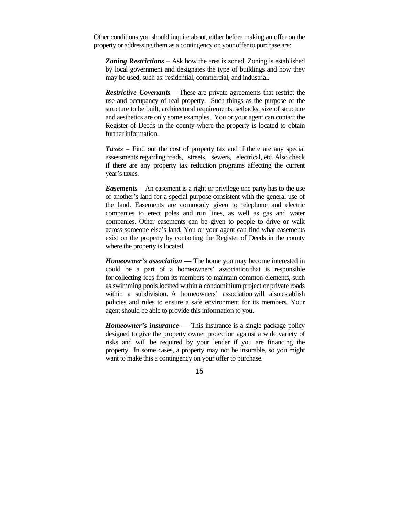Other conditions you should inquire about, either before making an offer on the property or addressing them as a contingency on your offer to purchase are:

*Zoning Restrictions* – Ask how the area is zoned. Zoning is established by local government and designates the type of buildings and how they may be used, such as: residential, commercial, and industrial.

*Restrictive Covenants* – These are private agreements that restrict the use and occupancy of real property. Such things as the purpose of the structure to be built, architectural requirements, setbacks, size of structure and aesthetics are only some examples. You or your agent can contact the Register of Deeds in the county where the property is located to obtain further information.

*Taxes* – Find out the cost of property tax and if there are any special assessments regarding roads, streets, sewers, electrical, etc. Also check if there are any property tax reduction programs affecting the current year's taxes.

*Easements* – An easement is a right or privilege one party has to the use of another's land for a special purpose consistent with the general use of the land. Easements are commonly given to telephone and electric companies to erect poles and run lines, as well as gas and water companies. Other easements can be given to people to drive or walk across someone else's land. You or your agent can find what easements exist on the property by contacting the Register of Deeds in the county where the property is located.

*Homeowner's association —* The home you may become interested in could be a part of a homeowners' association that is responsible for collecting fees from its members to maintain common elements, such as swimming pools located within a condominium project or private roads within a subdivision. A homeowners' association will also establish policies and rules to ensure a safe environment for its members. Your agent should be able to provide this information to you.

*Homeowner's insurance* — This insurance is a single package policy designed to give the property owner protection against a wide variety of risks and will be required by your lender if you are financing the property. In some cases, a property may not be insurable, so you might want to make this a contingency on your offer to purchase.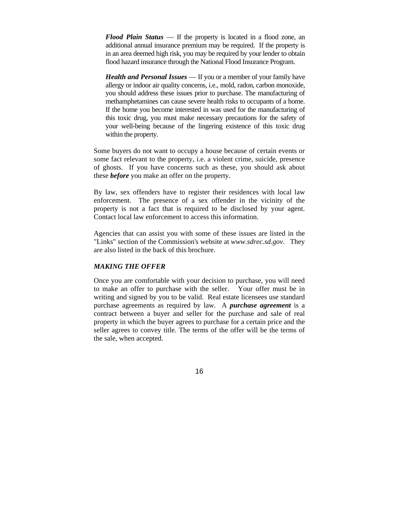*Flood Plain Status* — If the property is located in a flood zone, an additional annual insurance premium may be required. If the property is in an area deemed high risk, you may be required by your lender to obtain flood hazard insurance through the National Flood Insurance Program.

*Health and Personal Issues* — If you or a member of your family have allergy or indoor air quality concerns, i.e., mold, radon, carbon monoxide, you should address these issues prior to purchase. The manufacturing of methamphetamines can cause severe health risks to occupants of a home. If the home you become interested in was used for the manufacturing of this toxic drug, you must make necessary precautions for the safety of your well-being because of the lingering existence of this toxic drug within the property.

Some buyers do not want to occupy a house because of certain events or some fact relevant to the property, i.e. a violent crime, suicide, presence of ghosts. If you have concerns such as these, you should ask about these *before* you make an offer on the property.

By law, sex offenders have to register their residences with local law enforcement. The presence of a sex offender in the vicinity of the property is not a fact that is required to be disclosed by your agent. Contact local law enforcement to access this information.

Agencies that can assist you with some of these issues are listed in the "Links" section of the Commission's website at *www.sdrec.sd.gov*. They are also listed in the back of this brochure.

### *MAKING THE OFFER*

Once you are comfortable with your decision to purchase, you will need to make an offer to purchase with the seller. Your offer must be in writing and signed by you to be valid. Real estate licensees use standard purchase agreements as required by law. A *purchase agreement* is a contract between a buyer and seller for the purchase and sale of real property in which the buyer agrees to purchase for a certain price and the seller agrees to convey title. The terms of the offer will be the terms of the sale, when accepted.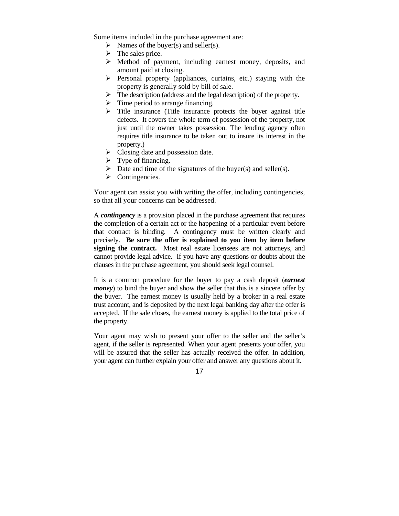Some items included in the purchase agreement are:

- $\triangleright$  Names of the buyer(s) and seller(s).
- $\triangleright$  The sales price.
- $\triangleright$  Method of payment, including earnest money, deposits, and amount paid at closing.
- $\triangleright$  Personal property (appliances, curtains, etc.) staying with the property is generally sold by bill of sale.
- $\triangleright$  The description (address and the legal description) of the property.
- $\triangleright$  Time period to arrange financing.
- $\triangleright$  Title insurance (Title insurance protects the buyer against title defects. It covers the whole term of possession of the property, not just until the owner takes possession. The lending agency often requires title insurance to be taken out to insure its interest in the property.)
- $\triangleright$  Closing date and possession date.
- $\triangleright$  Type of financing.
- $\triangleright$  Date and time of the signatures of the buyer(s) and seller(s).
- $\triangleright$  Contingencies.

Your agent can assist you with writing the offer, including contingencies, so that all your concerns can be addressed.

A *contingency* is a provision placed in the purchase agreement that requires the completion of a certain act or the happening of a particular event before that contract is binding. A contingency must be written clearly and precisely. **Be sure the offer is explained to you item by item before signing the contract.** Most real estate licensees are not attorneys, and cannot provide legal advice. If you have any questions or doubts about the clauses in the purchase agreement, you should seek legal counsel.

It is a common procedure for the buyer to pay a cash deposit (*earnest money*) to bind the buyer and show the seller that this is a sincere offer by the buyer. The earnest money is usually held by a broker in a real estate trust account, and is deposited by the next legal banking day after the offer is accepted. If the sale closes, the earnest money is applied to the total price of the property.

Your agent may wish to present your offer to the seller and the seller's agent, if the seller is represented. When your agent presents your offer, you will be assured that the seller has actually received the offer. In addition, your agent can further explain your offer and answer any questions about it.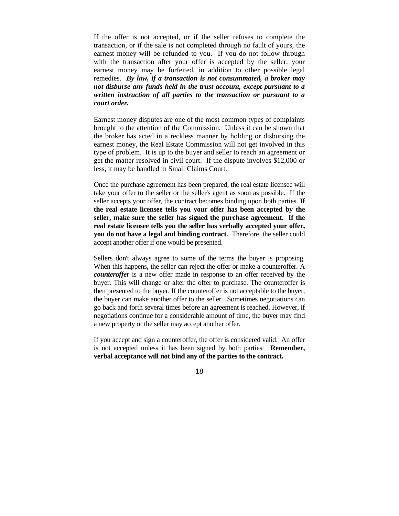If the offer is not accepted, or if the seller refuses to complete the transaction, or if the sale is not completed through no fault of yours, the earnest money will be refunded to you. If you do not follow through with the transaction after your offer is accepted by the seller, your earnest money may be forfeited, in addition to other possible legal remedies. *By law, if a transaction is not consummated, a broker may not disburse any funds held in the trust account, except pursuant to a written instruction of all parties to the transaction or pursuant to a court order.*

Earnest money disputes are one of the most common types of complaints brought to the attention of the Commission. Unless it can be shown that the broker has acted in a reckless manner by holding or disbursing the earnest money, the Real Estate Commission will not get involved in this type of problem. It is up to the buyer and seller to reach an agreement or get the matter resolved in civil court. If the dispute involves \$12,000 or less, it may be handled in Small Claims Court.

Once the purchase agreement has been prepared, the real estate licensee will take your offer to the seller or the seller's agent as soon as possible. If the seller accepts your offer, the contract becomes binding upon both parties. **If the real estate licensee tells you your offer has been accepted by the seller, make sure the seller has signed the purchase agreement. If the real estate licensee tells you the seller has verbally accepted your offer, you do not have a legal and binding contract.** Therefore, the seller could accept another offer if one would be presented.

Sellers don't always agree to some of the terms the buyer is proposing. When this happens, the seller can reject the offer or make a counteroffer. A *counteroffer* is a new offer made in response to an offer received by the buyer. This will change or alter the offer to purchase. The counteroffer is then presented to the buyer. If the counteroffer is not acceptable to the buyer, the buyer can make another offer to the seller. Sometimes negotiations can go back and forth several times before an agreement is reached. However, if negotiations continue for a considerable amount of time, the buyer may find a new property or the seller may accept another offer.

If you accept and sign a counteroffer, the offer is considered valid. An offer is not accepted unless it has been signed by both parties. **Remember, verbal acceptance will not bind any of the parties to the contract.**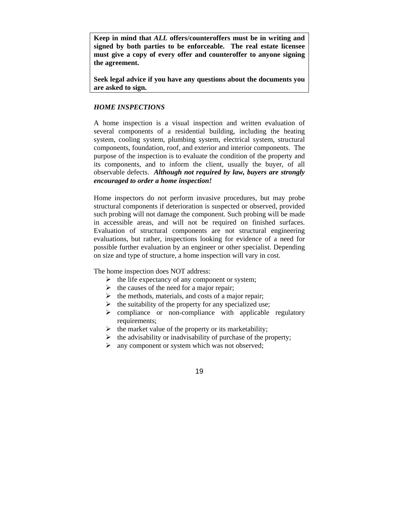**Keep in mind that** *ALL* **offers/counteroffers must be in writing and signed by both parties to be enforceable. The real estate licensee must give a copy of every offer and counteroffer to anyone signing the agreement.** 

**Seek legal advice if you have any questions about the documents you are asked to sign.** 

### *HOME INSPECTIONS*

A home inspection is a visual inspection and written evaluation of several components of a residential building, including the heating system, cooling system, plumbing system, electrical system, structural components, foundation, roof, and exterior and interior components. The purpose of the inspection is to evaluate the condition of the property and its components, and to inform the client, usually the buyer, of all observable defects. *Although not required by law, buyers are strongly encouraged to order a home inspection!* 

Home inspectors do not perform invasive procedures, but may probe structural components if deterioration is suspected or observed, provided such probing will not damage the component. Such probing will be made in accessible areas, and will not be required on finished surfaces. Evaluation of structural components are not structural engineering evaluations, but rather, inspections looking for evidence of a need for possible further evaluation by an engineer or other specialist. Depending on size and type of structure, a home inspection will vary in cost.

The home inspection does NOT address:

- $\triangleright$  the life expectancy of any component or system;
- $\triangleright$  the causes of the need for a major repair;
- $\triangleright$  the methods, materials, and costs of a major repair;
- $\triangleright$  the suitability of the property for any specialized use;
- $\triangleright$  compliance or non-compliance with applicable regulatory requirements;
- $\triangleright$  the market value of the property or its marketability;
- $\triangleright$  the advisability or inadvisability of purchase of the property;
- $\triangleright$  any component or system which was not observed;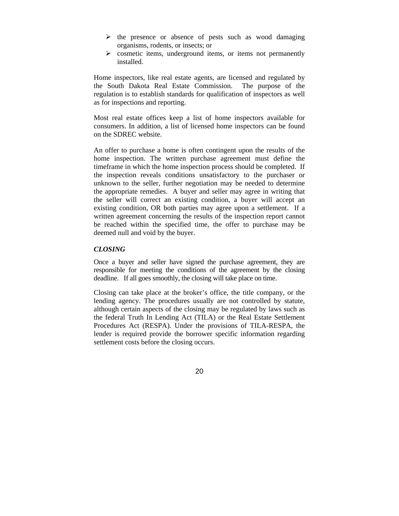- $\triangleright$  the presence or absence of pests such as wood damaging organisms, rodents, or insects; or
- $\triangleright$  cosmetic items, underground items, or items not permanently installed.

Home inspectors, like real estate agents, are licensed and regulated by the South Dakota Real Estate Commission. The purpose of the regulation is to establish standards for qualification of inspectors as well as for inspections and reporting.

Most real estate offices keep a list of home inspectors available for consumers. In addition, a list of licensed home inspectors can be found on the SDREC website.

An offer to purchase a home is often contingent upon the results of the home inspection. The written purchase agreement must define the timeframe in which the home inspection process should be completed. If the inspection reveals conditions unsatisfactory to the purchaser or unknown to the seller, further negotiation may be needed to determine the appropriate remedies. A buyer and seller may agree in writing that the seller will correct an existing condition, a buyer will accept an existing condition, OR both parties may agree upon a settlement. If a written agreement concerning the results of the inspection report cannot be reached within the specified time, the offer to purchase may be deemed null and void by the buyer.

### *CLOSING*

Once a buyer and seller have signed the purchase agreement, they are responsible for meeting the conditions of the agreement by the closing deadline. If all goes smoothly, the closing will take place on time.

Closing can take place at the broker's office, the title company, or the lending agency. The procedures usually are not controlled by statute, although certain aspects of the closing may be regulated by laws such as the federal Truth In Lending Act (TILA) or the Real Estate Settlement Procedures Act (RESPA). Under the provisions of TILA-RESPA, the lender is required provide the borrower specific information regarding settlement costs before the closing occurs.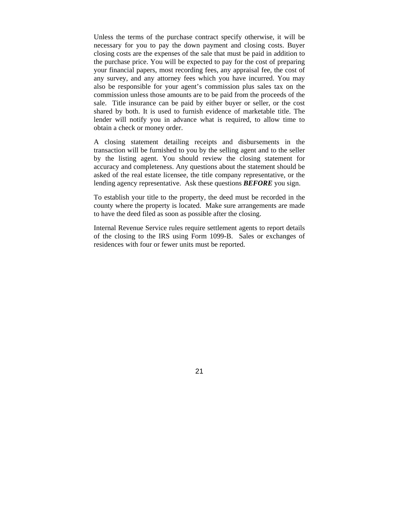Unless the terms of the purchase contract specify otherwise, it will be necessary for you to pay the down payment and closing costs. Buyer closing costs are the expenses of the sale that must be paid in addition to the purchase price. You will be expected to pay for the cost of preparing your financial papers, most recording fees, any appraisal fee, the cost of any survey, and any attorney fees which you have incurred. You may also be responsible for your agent's commission plus sales tax on the commission unless those amounts are to be paid from the proceeds of the sale. Title insurance can be paid by either buyer or seller, or the cost shared by both. It is used to furnish evidence of marketable title. The lender will notify you in advance what is required, to allow time to obtain a check or money order.

A closing statement detailing receipts and disbursements in the transaction will be furnished to you by the selling agent and to the seller by the listing agent. You should review the closing statement for accuracy and completeness. Any questions about the statement should be asked of the real estate licensee, the title company representative, or the lending agency representative. Ask these questions *BEFORE* you sign.

To establish your title to the property, the deed must be recorded in the county where the property is located. Make sure arrangements are made to have the deed filed as soon as possible after the closing.

Internal Revenue Service rules require settlement agents to report details of the closing to the IRS using Form 1099-B. Sales or exchanges of residences with four or fewer units must be reported.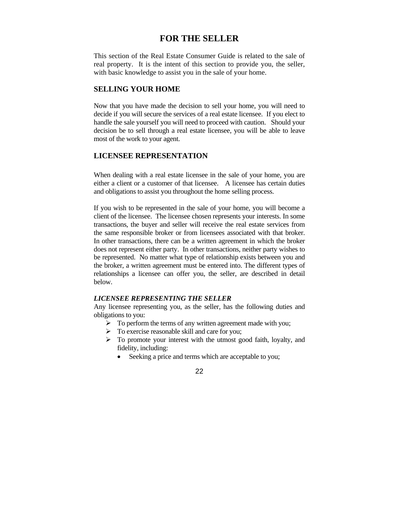# **FOR THE SELLER**

This section of the Real Estate Consumer Guide is related to the sale of real property. It is the intent of this section to provide you, the seller, with basic knowledge to assist you in the sale of your home.

### **SELLING YOUR HOME**

Now that you have made the decision to sell your home, you will need to decide if you will secure the services of a real estate licensee. If you elect to handle the sale yourself you will need to proceed with caution. Should your decision be to sell through a real estate licensee, you will be able to leave most of the work to your agent.

# **LICENSEE REPRESENTATION**

When dealing with a real estate licensee in the sale of your home, you are either a client or a customer of that licensee. A licensee has certain duties and obligations to assist you throughout the home selling process.

If you wish to be represented in the sale of your home, you will become a client of the licensee. The licensee chosen represents your interests. In some transactions, the buyer and seller will receive the real estate services from the same responsible broker or from licensees associated with that broker. In other transactions, there can be a written agreement in which the broker does not represent either party. In other transactions, neither party wishes to be represented. No matter what type of relationship exists between you and the broker, a written agreement must be entered into. The different types of relationships a licensee can offer you, the seller, are described in detail below.

#### *LICENSEE REPRESENTING THE SELLER*

Any licensee representing you, as the seller, has the following duties and obligations to you:

- $\triangleright$  To perform the terms of any written agreement made with you;
- $\triangleright$  To exercise reasonable skill and care for you;
- $\triangleright$  To promote your interest with the utmost good faith, loyalty, and fidelity, including:
	- Seeking a price and terms which are acceptable to you;

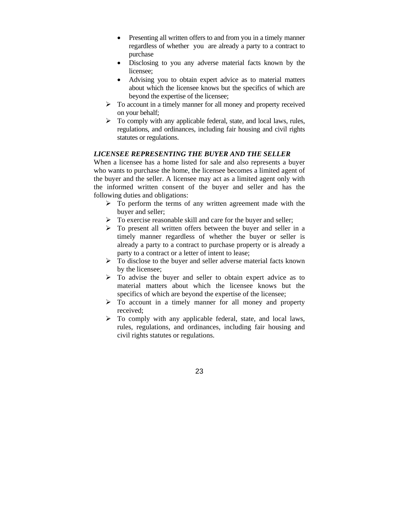- Presenting all written offers to and from you in a timely manner regardless of whether you are already a party to a contract to purchase
- Disclosing to you any adverse material facts known by the licensee;
- Advising you to obtain expert advice as to material matters about which the licensee knows but the specifics of which are beyond the expertise of the licensee;
- $\triangleright$  To account in a timely manner for all money and property received on your behalf;
- $\triangleright$  To comply with any applicable federal, state, and local laws, rules, regulations, and ordinances, including fair housing and civil rights statutes or regulations.

### *LICENSEE REPRESENTING THE BUYER AND THE SELLER*

When a licensee has a home listed for sale and also represents a buyer who wants to purchase the home, the licensee becomes a limited agent of the buyer and the seller. A licensee may act as a limited agent only with the informed written consent of the buyer and seller and has the following duties and obligations:

- $\triangleright$  To perform the terms of any written agreement made with the buyer and seller;
- $\triangleright$  To exercise reasonable skill and care for the buyer and seller;
- $\triangleright$  To present all written offers between the buyer and seller in a timely manner regardless of whether the buyer or seller is already a party to a contract to purchase property or is already a party to a contract or a letter of intent to lease;
- $\triangleright$  To disclose to the buyer and seller adverse material facts known by the licensee;
- $\triangleright$  To advise the buyer and seller to obtain expert advice as to material matters about which the licensee knows but the specifics of which are beyond the expertise of the licensee;
- $\triangleright$  To account in a timely manner for all money and property received;
- $\triangleright$  To comply with any applicable federal, state, and local laws, rules, regulations, and ordinances, including fair housing and civil rights statutes or regulations.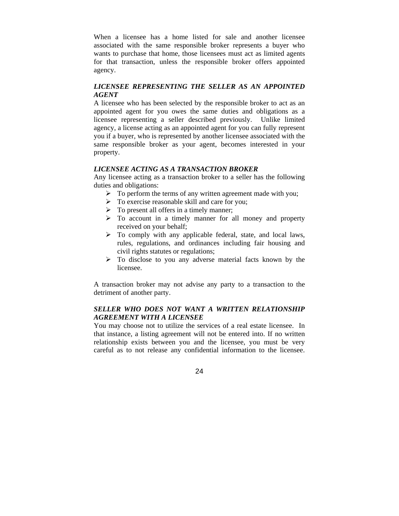When a licensee has a home listed for sale and another licensee associated with the same responsible broker represents a buyer who wants to purchase that home, those licensees must act as limited agents for that transaction, unless the responsible broker offers appointed agency.

# *LICENSEE REPRESENTING THE SELLER AS AN APPOINTED AGENT*

A licensee who has been selected by the responsible broker to act as an appointed agent for you owes the same duties and obligations as a licensee representing a seller described previously. Unlike limited agency, a license acting as an appointed agent for you can fully represent you if a buyer, who is represented by another licensee associated with the same responsible broker as your agent, becomes interested in your property.

# *LICENSEE ACTING AS A TRANSACTION BROKER*

Any licensee acting as a transaction broker to a seller has the following duties and obligations:

- $\triangleright$  To perform the terms of any written agreement made with you;
- $\triangleright$  To exercise reasonable skill and care for you;
- $\triangleright$  To present all offers in a timely manner;
- $\triangleright$  To account in a timely manner for all money and property received on your behalf;
- $\triangleright$  To comply with any applicable federal, state, and local laws, rules, regulations, and ordinances including fair housing and civil rights statutes or regulations;
- $\triangleright$  To disclose to you any adverse material facts known by the licensee.

A transaction broker may not advise any party to a transaction to the detriment of another party.

# *SELLER WHO DOES NOT WANT A WRITTEN RELATIONSHIP AGREEMENT WITH A LICENSEE*

You may choose not to utilize the services of a real estate licensee. In that instance, a listing agreement will not be entered into. If no written relationship exists between you and the licensee, you must be very careful as to not release any confidential information to the licensee.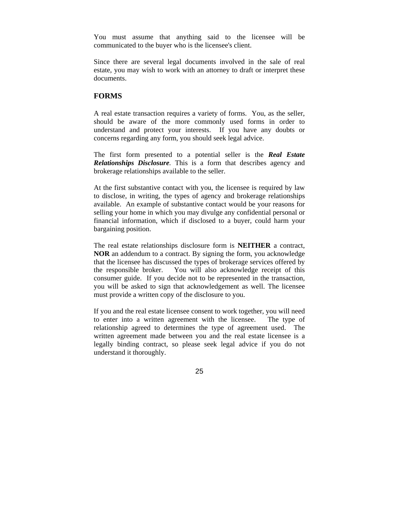You must assume that anything said to the licensee will be communicated to the buyer who is the licensee's client.

Since there are several legal documents involved in the sale of real estate, you may wish to work with an attorney to draft or interpret these documents.

# **FORMS**

A real estate transaction requires a variety of forms. You, as the seller, should be aware of the more commonly used forms in order to understand and protect your interests. If you have any doubts or concerns regarding any form, you should seek legal advice.

The first form presented to a potential seller is the *Real Estate Relationships Disclosure.* This is a form that describes agency and brokerage relationships available to the seller.

At the first substantive contact with you, the licensee is required by law to disclose, in writing, the types of agency and brokerage relationships available. An example of substantive contact would be your reasons for selling your home in which you may divulge any confidential personal or financial information, which if disclosed to a buyer, could harm your bargaining position.

The real estate relationships disclosure form is **NEITHER** a contract, **NOR** an addendum to a contract. By signing the form, you acknowledge that the licensee has discussed the types of brokerage services offered by the responsible broker. You will also acknowledge receipt of this consumer guide. If you decide not to be represented in the transaction, you will be asked to sign that acknowledgement as well. The licensee must provide a written copy of the disclosure to you.

If you and the real estate licensee consent to work together, you will need to enter into a written agreement with the licensee. The type of relationship agreed to determines the type of agreement used. The written agreement made between you and the real estate licensee is a legally binding contract, so please seek legal advice if you do not understand it thoroughly.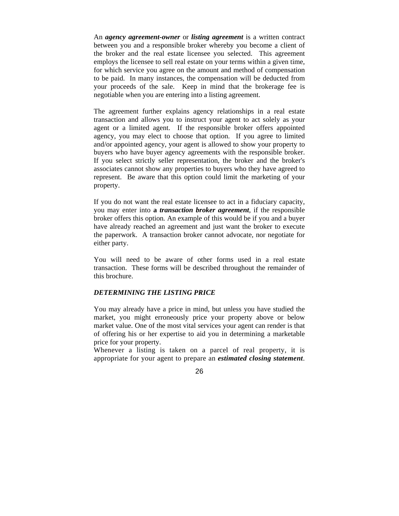An *agency agreement-owner* or *listing agreement* is a written contract between you and a responsible broker whereby you become a client of the broker and the real estate licensee you selected. This agreement employs the licensee to sell real estate on your terms within a given time, for which service you agree on the amount and method of compensation to be paid. In many instances, the compensation will be deducted from your proceeds of the sale. Keep in mind that the brokerage fee is negotiable when you are entering into a listing agreement.

The agreement further explains agency relationships in a real estate transaction and allows you to instruct your agent to act solely as your agent or a limited agent. If the responsible broker offers appointed agency, you may elect to choose that option. If you agree to limited and/or appointed agency, your agent is allowed to show your property to buyers who have buyer agency agreements with the responsible broker. If you select strictly seller representation, the broker and the broker's associates cannot show any properties to buyers who they have agreed to represent. Be aware that this option could limit the marketing of your property.

If you do not want the real estate licensee to act in a fiduciary capacity, you may enter into **a** *transaction broker agreement*, if the responsible broker offers this option*.* An example of this would be if you and a buyer have already reached an agreement and just want the broker to execute the paperwork. A transaction broker cannot advocate, nor negotiate for either party.

You will need to be aware of other forms used in a real estate transaction. These forms will be described throughout the remainder of this brochure.

### *DETERMINING THE LISTING PRICE*

You may already have a price in mind, but unless you have studied the market, you might erroneously price your property above or below market value. One of the most vital services your agent can render is that of offering his or her expertise to aid you in determining a marketable price for your property.

Whenever a listing is taken on a parcel of real property, it is appropriate for your agent to prepare an *estimated closing statement*.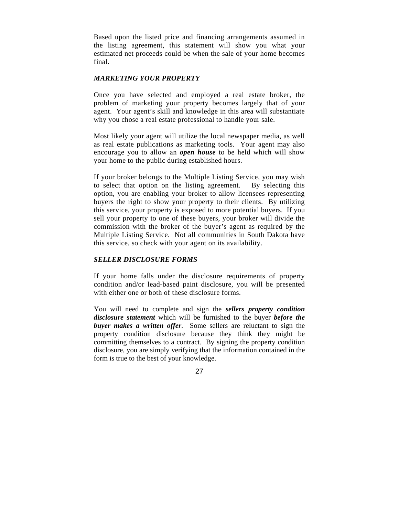Based upon the listed price and financing arrangements assumed in the listing agreement, this statement will show you what your estimated net proceeds could be when the sale of your home becomes final.

# *MARKETING YOUR PROPERTY*

Once you have selected and employed a real estate broker, the problem of marketing your property becomes largely that of your agent. Your agent's skill and knowledge in this area will substantiate why you chose a real estate professional to handle your sale.

Most likely your agent will utilize the local newspaper media, as well as real estate publications as marketing tools. Your agent may also encourage you to allow an *open house* to be held which will show your home to the public during established hours.

If your broker belongs to the Multiple Listing Service, you may wish to select that option on the listing agreement. By selecting this option, you are enabling your broker to allow licensees representing buyers the right to show your property to their clients. By utilizing this service, your property is exposed to more potential buyers. If you sell your property to one of these buyers, your broker will divide the commission with the broker of the buyer's agent as required by the Multiple Listing Service. Not all communities in South Dakota have this service, so check with your agent on its availability.

### *SELLER DISCLOSURE FORMS*

If your home falls under the disclosure requirements of property condition and/or lead-based paint disclosure, you will be presented with either one or both of these disclosure forms.

You will need to complete and sign the *sellers property condition disclosure statement* which will be furnished to the buyer *before the buyer makes a written offer*. Some sellers are reluctant to sign the property condition disclosure because they think they might be committing themselves to a contract. By signing the property condition disclosure, you are simply verifying that the information contained in the form is true to the best of your knowledge.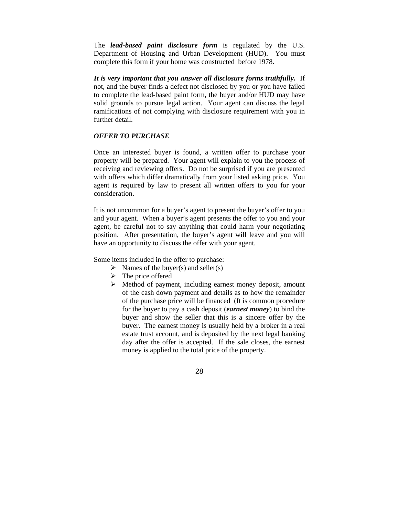The *lead-based paint disclosure form* is regulated by the U.S. Department of Housing and Urban Development (HUD). You must complete this form if your home was constructed before 1978.

*It is very important that you answer all disclosure forms truthfully.* If not, and the buyer finds a defect not disclosed by you or you have failed to complete the lead-based paint form, the buyer and/or HUD may have solid grounds to pursue legal action. Your agent can discuss the legal ramifications of not complying with disclosure requirement with you in further detail.

### *OFFER TO PURCHASE*

Once an interested buyer is found, a written offer to purchase your property will be prepared. Your agent will explain to you the process of receiving and reviewing offers. Do not be surprised if you are presented with offers which differ dramatically from your listed asking price. You agent is required by law to present all written offers to you for your consideration.

It is not uncommon for a buyer's agent to present the buyer's offer to you and your agent. When a buyer's agent presents the offer to you and your agent, be careful not to say anything that could harm your negotiating position. After presentation, the buyer's agent will leave and you will have an opportunity to discuss the offer with your agent.

Some items included in the offer to purchase:

- $\triangleright$  Names of the buyer(s) and seller(s)
- $\triangleright$  The price offered
- $\triangleright$  Method of payment, including earnest money deposit, amount of the cash down payment and details as to how the remainder of the purchase price will be financed (It is common procedure for the buyer to pay a cash deposit (*earnest money*) to bind the buyer and show the seller that this is a sincere offer by the buyer. The earnest money is usually held by a broker in a real estate trust account, and is deposited by the next legal banking day after the offer is accepted. If the sale closes, the earnest money is applied to the total price of the property.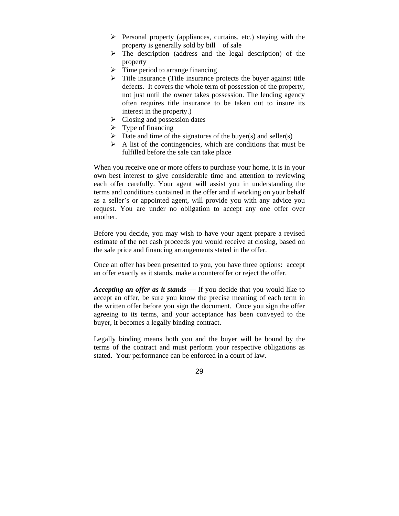- $\triangleright$  Personal property (appliances, curtains, etc.) staying with the property is generally sold by bill of sale
- $\triangleright$  The description (address and the legal description) of the property
- $\triangleright$  Time period to arrange financing
- $\triangleright$  Title insurance (Title insurance protects the buyer against title defects. It covers the whole term of possession of the property, not just until the owner takes possession. The lending agency often requires title insurance to be taken out to insure its interest in the property.)
- $\triangleright$  Closing and possession dates
- $\triangleright$  Type of financing
- $\triangleright$  Date and time of the signatures of the buyer(s) and seller(s)
- $\triangleright$  A list of the contingencies, which are conditions that must be fulfilled before the sale can take place

When you receive one or more offers to purchase your home, it is in your own best interest to give considerable time and attention to reviewing each offer carefully. Your agent will assist you in understanding the terms and conditions contained in the offer and if working on your behalf as a seller's or appointed agent, will provide you with any advice you request. You are under no obligation to accept any one offer over another.

Before you decide, you may wish to have your agent prepare a revised estimate of the net cash proceeds you would receive at closing, based on the sale price and financing arrangements stated in the offer.

Once an offer has been presented to you, you have three options: accept an offer exactly as it stands, make a counteroffer or reject the offer.

*Accepting an offer as it stands —* If you decide that you would like to accept an offer, be sure you know the precise meaning of each term in the written offer before you sign the document. Once you sign the offer agreeing to its terms, and your acceptance has been conveyed to the buyer, it becomes a legally binding contract.

Legally binding means both you and the buyer will be bound by the terms of the contract and must perform your respective obligations as stated. Your performance can be enforced in a court of law.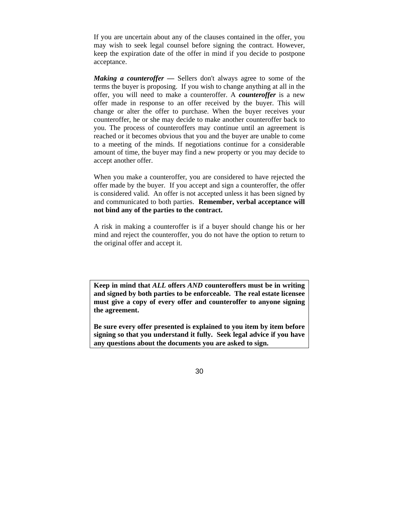If you are uncertain about any of the clauses contained in the offer, you may wish to seek legal counsel before signing the contract. However, keep the expiration date of the offer in mind if you decide to postpone acceptance.

*Making a counteroffer —* Sellers don't always agree to some of the terms the buyer is proposing. If you wish to change anything at all in the offer, you will need to make a counteroffer. A *counteroffer* is a new offer made in response to an offer received by the buyer. This will change or alter the offer to purchase. When the buyer receives your counteroffer, he or she may decide to make another counteroffer back to you. The process of counteroffers may continue until an agreement is reached or it becomes obvious that you and the buyer are unable to come to a meeting of the minds. If negotiations continue for a considerable amount of time, the buyer may find a new property or you may decide to accept another offer.

When you make a counteroffer, you are considered to have rejected the offer made by the buyer. If you accept and sign a counteroffer, the offer is considered valid. An offer is not accepted unless it has been signed by and communicated to both parties. **Remember, verbal acceptance will not bind any of the parties to the contract.** 

A risk in making a counteroffer is if a buyer should change his or her mind and reject the counteroffer, you do not have the option to return to the original offer and accept it.

**Keep in mind that** *ALL* **offers** *AND* **counteroffers must be in writing and signed by both parties to be enforceable. The real estate licensee must give a copy of every offer and counteroffer to anyone signing the agreement.** 

**Be sure every offer presented is explained to you item by item before signing so that you understand it fully. Seek legal advice if you have any questions about the documents you are asked to sign.**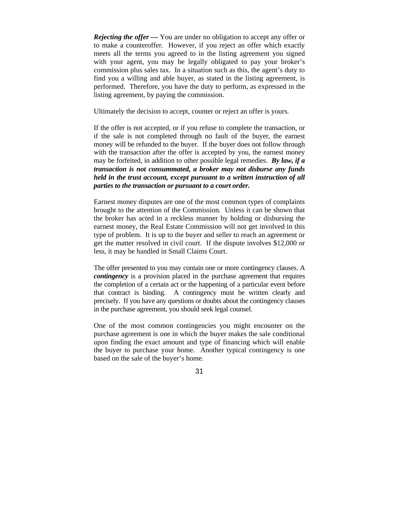*Rejecting the offer* — You are under no obligation to accept any offer or to make a counteroffer. However, if you reject an offer which exactly meets all the terms you agreed to in the listing agreement you signed with your agent, you may be legally obligated to pay your broker's commission plus sales tax. In a situation such as this, the agent's duty to find you a willing and able buyer, as stated in the listing agreement, is performed. Therefore, you have the duty to perform, as expressed in the listing agreement, by paying the commission.

Ultimately the decision to accept, counter or reject an offer is yours.

If the offer is not accepted, or if you refuse to complete the transaction, or if the sale is not completed through no fault of the buyer, the earnest money will be refunded to the buyer. If the buyer does not follow through with the transaction after the offer is accepted by you, the earnest money may be forfeited, in addition to other possible legal remedies. *By law, if a transaction is not consummated, a broker may not disburse any funds held in the trust account, except pursuant to a written instruction of all parties to the transaction or pursuant to a court order.*

Earnest money disputes are one of the most common types of complaints brought to the attention of the Commission. Unless it can be shown that the broker has acted in a reckless manner by holding or disbursing the earnest money, the Real Estate Commission will not get involved in this type of problem. It is up to the buyer and seller to reach an agreement or get the matter resolved in civil court. If the dispute involves \$12,000 or less, it may be handled in Small Claims Court.

The offer presented to you may contain one or more contingency clauses. A *contingency* is a provision placed in the purchase agreement that requires the completion of a certain act or the happening of a particular event before that contract is binding. A contingency must be written clearly and precisely. If you have any questions or doubts about the contingency clauses in the purchase agreement, you should seek legal counsel.

One of the most common contingencies you might encounter on the purchase agreement is one in which the buyer makes the sale conditional upon finding the exact amount and type of financing which will enable the buyer to purchase your home. Another typical contingency is one based on the sale of the buyer's home.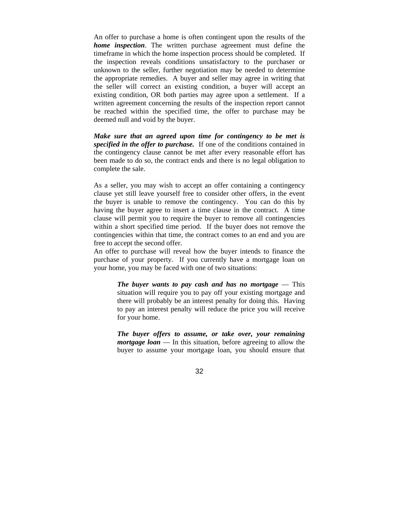An offer to purchase a home is often contingent upon the results of the *home inspection*. The written purchase agreement must define the timeframe in which the home inspection process should be completed. If the inspection reveals conditions unsatisfactory to the purchaser or unknown to the seller, further negotiation may be needed to determine the appropriate remedies. A buyer and seller may agree in writing that the seller will correct an existing condition, a buyer will accept an existing condition, OR both parties may agree upon a settlement. If a written agreement concerning the results of the inspection report cannot be reached within the specified time, the offer to purchase may be deemed null and void by the buyer.

*Make sure that an agreed upon time for contingency to be met is specified in the offer to purchase.* If one of the conditions contained in the contingency clause cannot be met after every reasonable effort has been made to do so, the contract ends and there is no legal obligation to complete the sale.

As a seller, you may wish to accept an offer containing a contingency clause yet still leave yourself free to consider other offers, in the event the buyer is unable to remove the contingency. You can do this by having the buyer agree to insert a time clause in the contract. A time clause will permit you to require the buyer to remove all contingencies within a short specified time period. If the buyer does not remove the contingencies within that time, the contract comes to an end and you are free to accept the second offer.

An offer to purchase will reveal how the buyer intends to finance the purchase of your property. If you currently have a mortgage loan on your home, you may be faced with one of two situations:

> *The buyer wants to pay cash and has no mortgage* — This situation will require you to pay off your existing mortgage and there will probably be an interest penalty for doing this. Having to pay an interest penalty will reduce the price you will receive for your home.

> *The buyer offers to assume, or take over, your remaining mortgage loan* — In this situation, before agreeing to allow the buyer to assume your mortgage loan, you should ensure that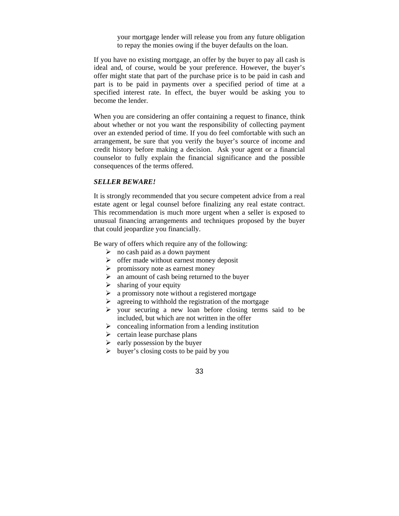your mortgage lender will release you from any future obligation to repay the monies owing if the buyer defaults on the loan.

If you have no existing mortgage, an offer by the buyer to pay all cash is ideal and, of course, would be your preference. However, the buyer's offer might state that part of the purchase price is to be paid in cash and part is to be paid in payments over a specified period of time at a specified interest rate. In effect, the buyer would be asking you to become the lender.

When you are considering an offer containing a request to finance, think about whether or not you want the responsibility of collecting payment over an extended period of time. If you do feel comfortable with such an arrangement, be sure that you verify the buyer's source of income and credit history before making a decision. Ask your agent or a financial counselor to fully explain the financial significance and the possible consequences of the terms offered.

#### *SELLER BEWARE!*

It is strongly recommended that you secure competent advice from a real estate agent or legal counsel before finalizing any real estate contract. This recommendation is much more urgent when a seller is exposed to unusual financing arrangements and techniques proposed by the buyer that could jeopardize you financially.

Be wary of offers which require any of the following:

- $\triangleright$  no cash paid as a down payment
- $\triangleright$  offer made without earnest money deposit
- $\triangleright$  promissory note as earnest money
- $\triangleright$  an amount of cash being returned to the buyer
- $\triangleright$  sharing of your equity
- $\triangleright$  a promissory note without a registered mortgage
- $\triangleright$  agreeing to withhold the registration of the mortgage
- $\triangleright$  your securing a new loan before closing terms said to be included, but which are not written in the offer
- $\triangleright$  concealing information from a lending institution
- $\triangleright$  certain lease purchase plans
- $\triangleright$  early possession by the buyer
- $\triangleright$  buyer's closing costs to be paid by you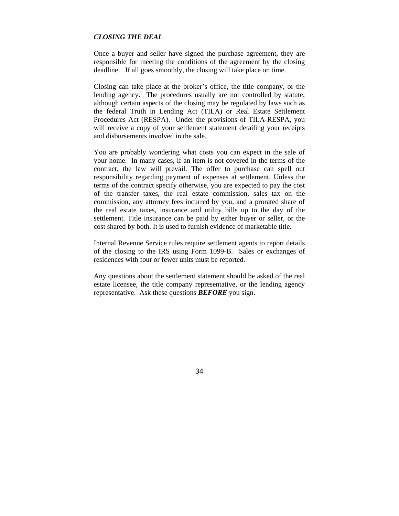### *CLOSING THE DEAL*

Once a buyer and seller have signed the purchase agreement, they are responsible for meeting the conditions of the agreement by the closing deadline. If all goes smoothly, the closing will take place on time.

Closing can take place at the broker's office, the title company, or the lending agency. The procedures usually are not controlled by statute, although certain aspects of the closing may be regulated by laws such as the federal Truth in Lending Act (TILA) or Real Estate Settlement Procedures Act (RESPA). Under the provisions of TILA-RESPA, you will receive a copy of your settlement statement detailing your receipts and disbursements involved in the sale.

You are probably wondering what costs you can expect in the sale of your home. In many cases, if an item is not covered in the terms of the contract, the law will prevail. The offer to purchase can spell out responsibility regarding payment of expenses at settlement. Unless the terms of the contract specify otherwise, you are expected to pay the cost of the transfer taxes, the real estate commission, sales tax on the commission, any attorney fees incurred by you, and a prorated share of the real estate taxes, insurance and utility bills up to the day of the settlement. Title insurance can be paid by either buyer or seller, or the cost shared by both. It is used to furnish evidence of marketable title.

Internal Revenue Service rules require settlement agents to report details of the closing to the IRS using Form 1099-B. Sales or exchanges of residences with four or fewer units must be reported.

Any questions about the settlement statement should be asked of the real estate licensee, the title company representative, or the lending agency representative. Ask these questions *BEFORE* you sign.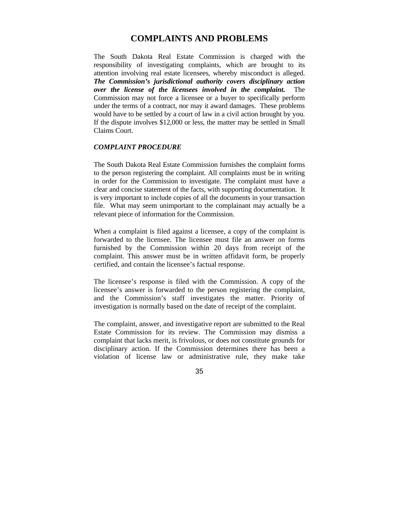# **COMPLAINTS AND PROBLEMS**

The South Dakota Real Estate Commission is charged with the responsibility of investigating complaints, which are brought to its attention involving real estate licensees, whereby misconduct is alleged. *The Commission's jurisdictional authority covers disciplinary action over the license of the licensees involved in the complaint***.** The Commission may not force a licensee or a buyer to specifically perform under the terms of a contract, nor may it award damages. These problems would have to be settled by a court of law in a civil action brought by you. If the dispute involves \$12,000 or less, the matter may be settled in Small Claims Court.

# *COMPLAINT PROCEDURE*

The South Dakota Real Estate Commission furnishes the complaint forms to the person registering the complaint. All complaints must be in writing in order for the Commission to investigate. The complaint must have a clear and concise statement of the facts, with supporting documentation. It is very important to include copies of all the documents in your transaction file. What may seem unimportant to the complainant may actually be a relevant piece of information for the Commission.

When a complaint is filed against a licensee, a copy of the complaint is forwarded to the licensee. The licensee must file an answer on forms furnished by the Commission within 20 days from receipt of the complaint. This answer must be in written affidavit form, be properly certified, and contain the licensee's factual response.

The licensee's response is filed with the Commission. A copy of the licensee's answer is forwarded to the person registering the complaint, and the Commission's staff investigates the matter. Priority of investigation is normally based on the date of receipt of the complaint.

The complaint, answer, and investigative report are submitted to the Real Estate Commission for its review. The Commission may dismiss a complaint that lacks merit, is frivolous, or does not constitute grounds for disciplinary action. If the Commission determines there has been a violation of license law or administrative rule, they make take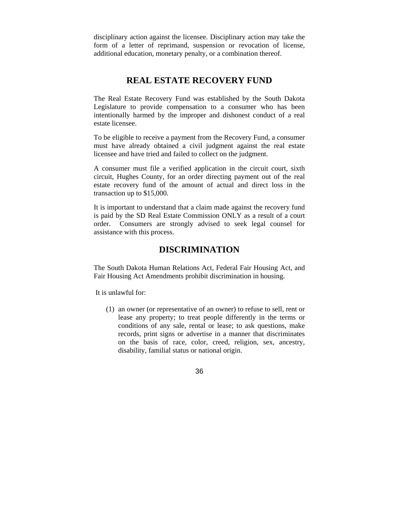disciplinary action against the licensee. Disciplinary action may take the form of a letter of reprimand, suspension or revocation of license, additional education, monetary penalty, or a combination thereof.

# **REAL ESTATE RECOVERY FUND**

The Real Estate Recovery Fund was established by the South Dakota Legislature to provide compensation to a consumer who has been intentionally harmed by the improper and dishonest conduct of a real estate licensee.

To be eligible to receive a payment from the Recovery Fund, a consumer must have already obtained a civil judgment against the real estate licensee and have tried and failed to collect on the judgment.

A consumer must file a verified application in the circuit court, sixth circuit, Hughes County, for an order directing payment out of the real estate recovery fund of the amount of actual and direct loss in the transaction up to \$15,000.

It is important to understand that a claim made against the recovery fund is paid by the SD Real Estate Commission ONLY as a result of a court order. Consumers are strongly advised to seek legal counsel for assistance with this process.

# **DISCRIMINATION**

The South Dakota Human Relations Act, Federal Fair Housing Act, and Fair Housing Act Amendments prohibit discrimination in housing.

It is unlawful for:

(1) an owner (or representative of an owner) to refuse to sell, rent or lease any property; to treat people differently in the terms or conditions of any sale, rental or lease; to ask questions, make records, print signs or advertise in a manner that discriminates on the basis of race, color, creed, religion, sex, ancestry, disability, familial status or national origin.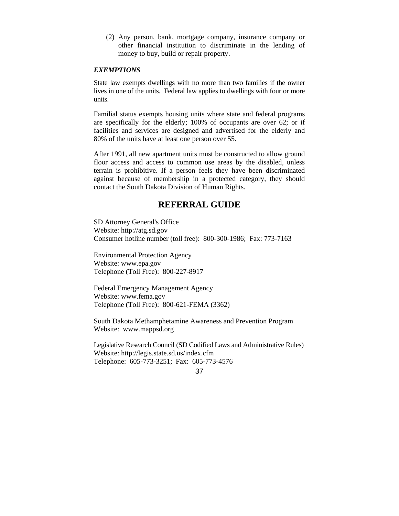(2) Any person, bank, mortgage company, insurance company or other financial institution to discriminate in the lending of money to buy, build or repair property.

### *EXEMPTIONS*

State law exempts dwellings with no more than two families if the owner lives in one of the units. Federal law applies to dwellings with four or more units.

Familial status exempts housing units where state and federal programs are specifically for the elderly; 100% of occupants are over 62; or if facilities and services are designed and advertised for the elderly and 80% of the units have at least one person over 55.

After 1991, all new apartment units must be constructed to allow ground floor access and access to common use areas by the disabled, unless terrain is prohibitive. If a person feels they have been discriminated against because of membership in a protected category, they should contact the South Dakota Division of Human Rights.

# **REFERRAL GUIDE**

SD Attorney General's Office Website: http://atg.sd.gov Consumer hotline number (toll free): 800-300-1986; Fax: 773-7163

Environmental Protection Agency Website: www.epa.gov Telephone (Toll Free): 800-227-8917

Federal Emergency Management Agency Website: www.fema.gov Telephone (Toll Free): 800-621-FEMA (3362)

South Dakota Methamphetamine Awareness and Prevention Program Website: www.mappsd.org

Legislative Research Council (SD Codified Laws and Administrative Rules) Website: http://legis.state.sd.us/index.cfm Telephone: 605-773-3251; Fax: 605-773-4576

<sup>37</sup>